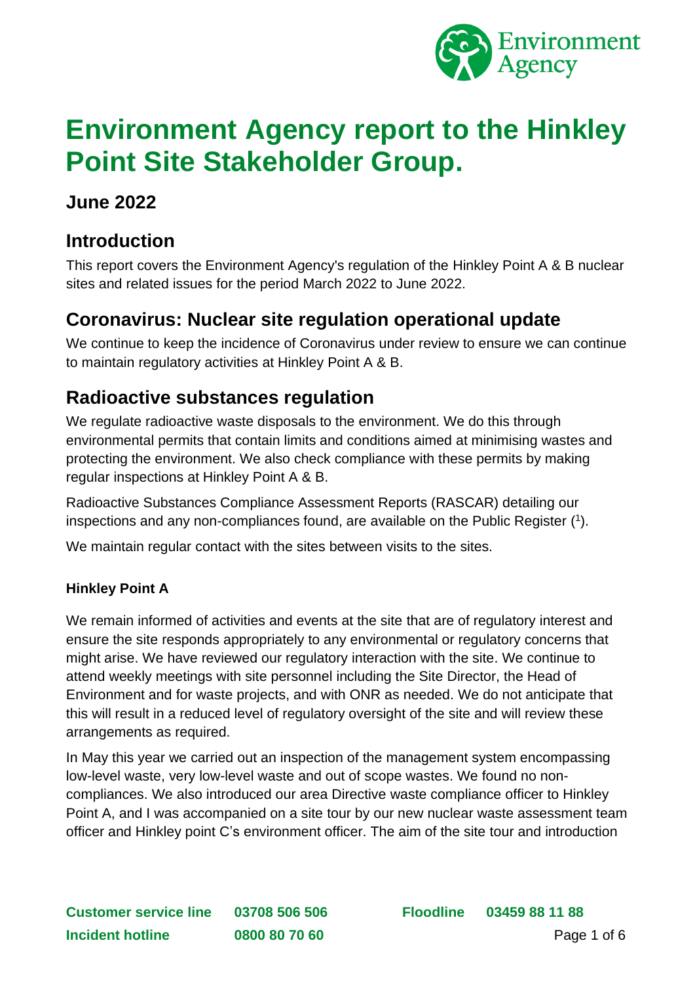

# **Environment Agency report to the Hinkley Point Site Stakeholder Group.**

### **June 2022**

### **Introduction**

This report covers the Environment Agency's regulation of the Hinkley Point A & B nuclear sites and related issues for the period March 2022 to June 2022.

### **Coronavirus: Nuclear site regulation operational update**

We continue to keep the incidence of Coronavirus under review to ensure we can continue to maintain regulatory activities at Hinkley Point A & B.

### **Radioactive substances regulation**

We regulate radioactive waste disposals to the environment. We do this through environmental permits that contain limits and conditions aimed at minimising wastes and protecting the environment. We also check compliance with these permits by making regular inspections at Hinkley Point A & B.

Radioactive Substances Compliance Assessment Reports (RASCAR) detailing our inspections and any non-compliances found, are available on the Public Register ( 1 ).

We maintain regular contact with the sites between visits to the sites.

### **Hinkley Point A**

We remain informed of activities and events at the site that are of regulatory interest and ensure the site responds appropriately to any environmental or regulatory concerns that might arise. We have reviewed our regulatory interaction with the site. We continue to attend weekly meetings with site personnel including the Site Director, the Head of Environment and for waste projects, and with ONR as needed. We do not anticipate that this will result in a reduced level of regulatory oversight of the site and will review these arrangements as required.

In May this year we carried out an inspection of the management system encompassing low-level waste, very low-level waste and out of scope wastes. We found no noncompliances. We also introduced our area Directive waste compliance officer to Hinkley Point A, and I was accompanied on a site tour by our new nuclear waste assessment team officer and Hinkley point C's environment officer. The aim of the site tour and introduction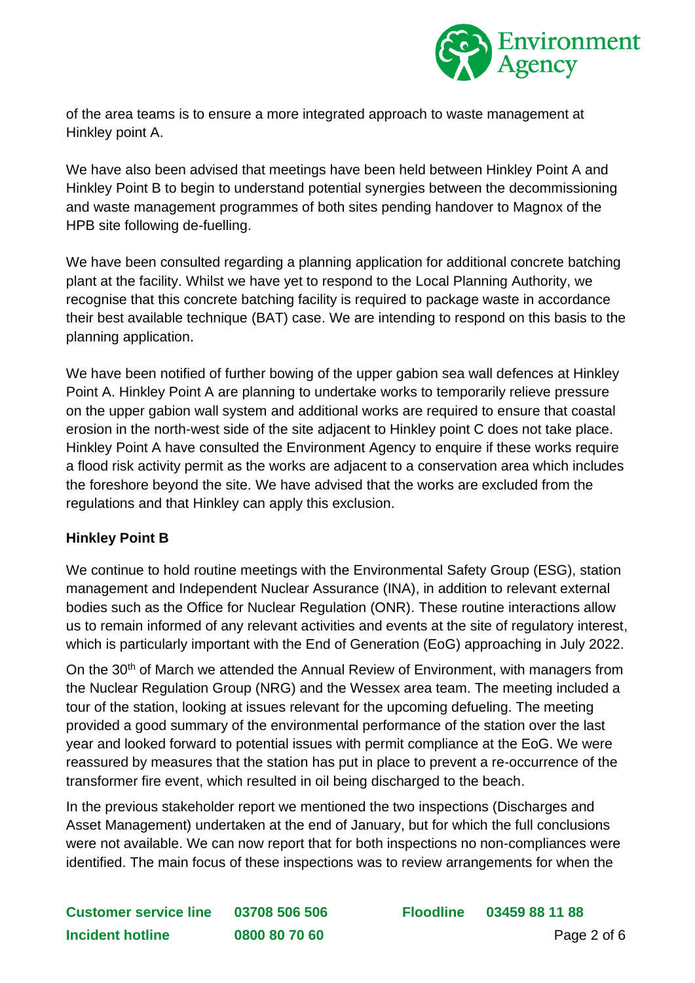

of the area teams is to ensure a more integrated approach to waste management at Hinkley point A.

We have also been advised that meetings have been held between Hinkley Point A and Hinkley Point B to begin to understand potential synergies between the decommissioning and waste management programmes of both sites pending handover to Magnox of the HPB site following de-fuelling.

We have been consulted regarding a planning application for additional concrete batching plant at the facility. Whilst we have yet to respond to the Local Planning Authority, we recognise that this concrete batching facility is required to package waste in accordance their best available technique (BAT) case. We are intending to respond on this basis to the planning application.

We have been notified of further bowing of the upper gabion sea wall defences at Hinkley Point A. Hinkley Point A are planning to undertake works to temporarily relieve pressure on the upper gabion wall system and additional works are required to ensure that coastal erosion in the north-west side of the site adjacent to Hinkley point C does not take place. Hinkley Point A have consulted the Environment Agency to enquire if these works require a flood risk activity permit as the works are adjacent to a conservation area which includes the foreshore beyond the site. We have advised that the works are excluded from the regulations and that Hinkley can apply this exclusion.

#### **Hinkley Point B**

We continue to hold routine meetings with the Environmental Safety Group (ESG), station management and Independent Nuclear Assurance (INA), in addition to relevant external bodies such as the Office for Nuclear Regulation (ONR). These routine interactions allow us to remain informed of any relevant activities and events at the site of regulatory interest, which is particularly important with the End of Generation (EoG) approaching in July 2022.

On the 30<sup>th</sup> of March we attended the Annual Review of Environment, with managers from the Nuclear Regulation Group (NRG) and the Wessex area team. The meeting included a tour of the station, looking at issues relevant for the upcoming defueling. The meeting provided a good summary of the environmental performance of the station over the last year and looked forward to potential issues with permit compliance at the EoG. We were reassured by measures that the station has put in place to prevent a re-occurrence of the transformer fire event, which resulted in oil being discharged to the beach.

In the previous stakeholder report we mentioned the two inspections (Discharges and Asset Management) undertaken at the end of January, but for which the full conclusions were not available. We can now report that for both inspections no non-compliances were identified. The main focus of these inspections was to review arrangements for when the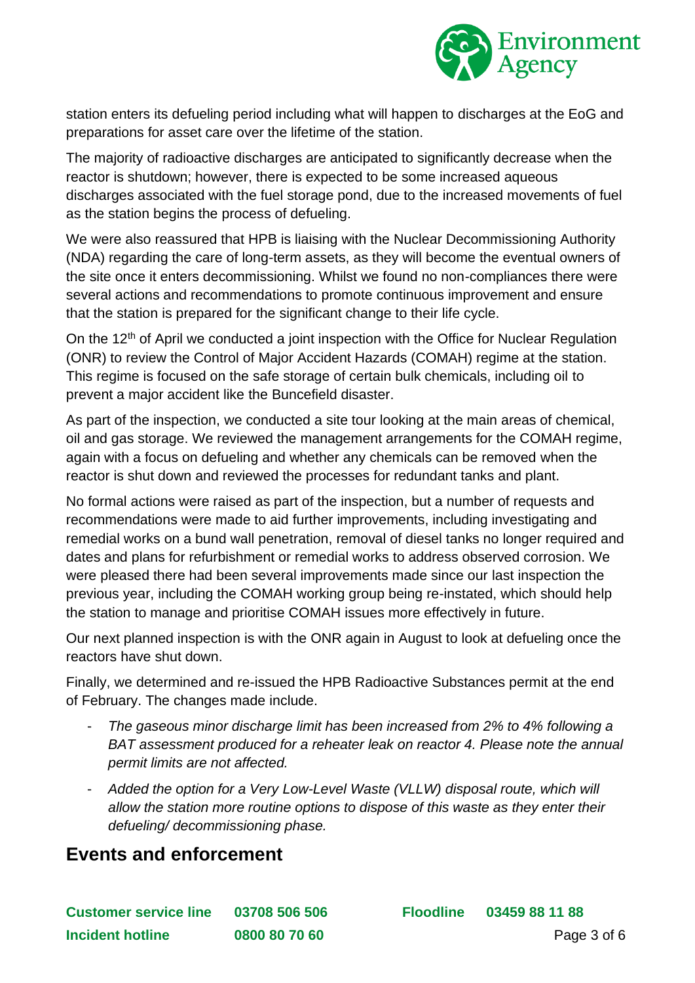

station enters its defueling period including what will happen to discharges at the EoG and preparations for asset care over the lifetime of the station.

The majority of radioactive discharges are anticipated to significantly decrease when the reactor is shutdown; however, there is expected to be some increased aqueous discharges associated with the fuel storage pond, due to the increased movements of fuel as the station begins the process of defueling.

We were also reassured that HPB is liaising with the Nuclear Decommissioning Authority (NDA) regarding the care of long-term assets, as they will become the eventual owners of the site once it enters decommissioning. Whilst we found no non-compliances there were several actions and recommendations to promote continuous improvement and ensure that the station is prepared for the significant change to their life cycle.

On the 12<sup>th</sup> of April we conducted a joint inspection with the Office for Nuclear Regulation (ONR) to review the Control of Major Accident Hazards (COMAH) regime at the station. This regime is focused on the safe storage of certain bulk chemicals, including oil to prevent a major accident like the Buncefield disaster.

As part of the inspection, we conducted a site tour looking at the main areas of chemical, oil and gas storage. We reviewed the management arrangements for the COMAH regime, again with a focus on defueling and whether any chemicals can be removed when the reactor is shut down and reviewed the processes for redundant tanks and plant.

No formal actions were raised as part of the inspection, but a number of requests and recommendations were made to aid further improvements, including investigating and remedial works on a bund wall penetration, removal of diesel tanks no longer required and dates and plans for refurbishment or remedial works to address observed corrosion. We were pleased there had been several improvements made since our last inspection the previous year, including the COMAH working group being re-instated, which should help the station to manage and prioritise COMAH issues more effectively in future.

Our next planned inspection is with the ONR again in August to look at defueling once the reactors have shut down.

Finally, we determined and re-issued the HPB Radioactive Substances permit at the end of February. The changes made include.

- *The gaseous minor discharge limit has been increased from 2% to 4% following a BAT assessment produced for a reheater leak on reactor 4. Please note the annual permit limits are not affected.*
- *Added the option for a Very Low-Level Waste (VLLW) disposal route, which will allow the station more routine options to dispose of this waste as they enter their defueling/ decommissioning phase.*

### **Events and enforcement**

**Customer service line 03708 506 506 Floodline 03459 88 11 88 Incident hotline 0800 80 70 60** Page 3 of 6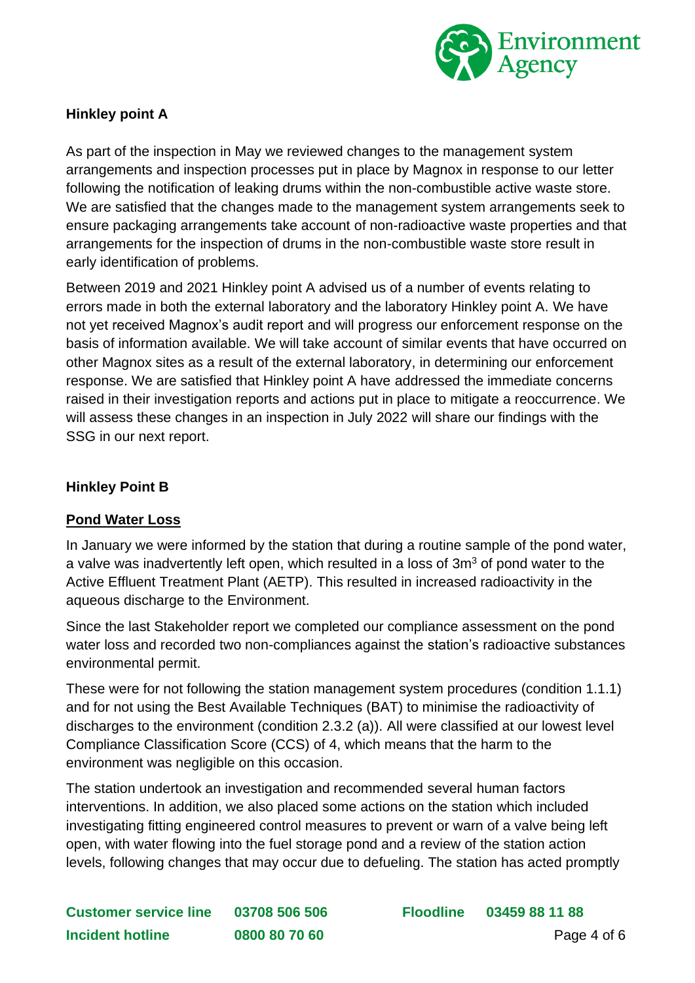

#### **Hinkley point A**

As part of the inspection in May we reviewed changes to the management system arrangements and inspection processes put in place by Magnox in response to our letter following the notification of leaking drums within the non-combustible active waste store. We are satisfied that the changes made to the management system arrangements seek to ensure packaging arrangements take account of non-radioactive waste properties and that arrangements for the inspection of drums in the non-combustible waste store result in early identification of problems.

Between 2019 and 2021 Hinkley point A advised us of a number of events relating to errors made in both the external laboratory and the laboratory Hinkley point A. We have not yet received Magnox's audit report and will progress our enforcement response on the basis of information available. We will take account of similar events that have occurred on other Magnox sites as a result of the external laboratory, in determining our enforcement response. We are satisfied that Hinkley point A have addressed the immediate concerns raised in their investigation reports and actions put in place to mitigate a reoccurrence. We will assess these changes in an inspection in July 2022 will share our findings with the SSG in our next report.

#### **Hinkley Point B**

#### **Pond Water Loss**

In January we were informed by the station that during a routine sample of the pond water, a valve was inadvertently left open, which resulted in a loss of  $3m<sup>3</sup>$  of pond water to the Active Effluent Treatment Plant (AETP). This resulted in increased radioactivity in the aqueous discharge to the Environment.

Since the last Stakeholder report we completed our compliance assessment on the pond water loss and recorded two non-compliances against the station's radioactive substances environmental permit.

These were for not following the station management system procedures (condition 1.1.1) and for not using the Best Available Techniques (BAT) to minimise the radioactivity of discharges to the environment (condition 2.3.2 (a)). All were classified at our lowest level Compliance Classification Score (CCS) of 4, which means that the harm to the environment was negligible on this occasion.

The station undertook an investigation and recommended several human factors interventions. In addition, we also placed some actions on the station which included investigating fitting engineered control measures to prevent or warn of a valve being left open, with water flowing into the fuel storage pond and a review of the station action levels, following changes that may occur due to defueling. The station has acted promptly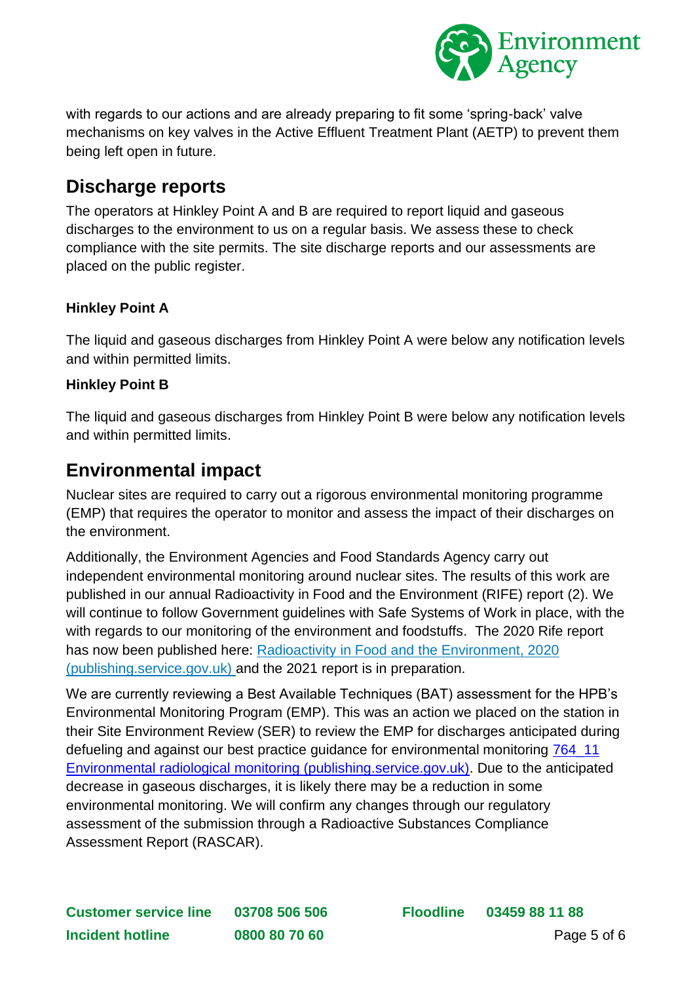

with regards to our actions and are already preparing to fit some 'spring-back' valve mechanisms on key valves in the Active Effluent Treatment Plant (AETP) to prevent them being left open in future.

### **Discharge reports**

The operators at Hinkley Point A and B are required to report liquid and gaseous discharges to the environment to us on a regular basis. We assess these to check compliance with the site permits. The site discharge reports and our assessments are placed on the public register.

#### **Hinkley Point A**

The liquid and gaseous discharges from Hinkley Point A were below any notification levels and within permitted limits.

#### **Hinkley Point B**

The liquid and gaseous discharges from Hinkley Point B were below any notification levels and within permitted limits.

### **Environmental impact**

Nuclear sites are required to carry out a rigorous environmental monitoring programme (EMP) that requires the operator to monitor and assess the impact of their discharges on the environment.

Additionally, the Environment Agencies and Food Standards Agency carry out independent environmental monitoring around nuclear sites. The results of this work are published in our annual Radioactivity in Food and the Environment (RIFE) report (2). We will continue to follow Government guidelines with Safe Systems of Work in place, with the with regards to our monitoring of the environment and foodstuffs. The 2020 Rife report has now been published here: [Radioactivity in Food and the Environment, 2020](https://assets.publishing.service.gov.uk/government/uploads/system/uploads/attachment_data/file/1030466/Radioactivity-in-food-and-the-environment-2020.pdf) [\(publishing.service.gov.uk\)](https://assets.publishing.service.gov.uk/government/uploads/system/uploads/attachment_data/file/1030466/Radioactivity-in-food-and-the-environment-2020.pdf) and the 2021 report is in preparation.

We are currently reviewing a Best Available Techniques (BAT) assessment for the HPB's Environmental Monitoring Program (EMP). This was an action we placed on the station in their Site Environment Review (SER) to review the EMP for discharges anticipated during defueling and against our best practice guidance for environmental monitoring [764\\_11](https://assets.publishing.service.gov.uk/government/uploads/system/uploads/attachment_data/file/296529/geho0811btvy-e-e.pdf)  Environmental radiological [monitoring \(publishing.service.gov.uk\).](https://assets.publishing.service.gov.uk/government/uploads/system/uploads/attachment_data/file/296529/geho0811btvy-e-e.pdf) Due to the anticipated decrease in gaseous discharges, it is likely there may be a reduction in some environmental monitoring. We will confirm any changes through our regulatory assessment of the submission through a Radioactive Substances Compliance Assessment Report (RASCAR).

**Customer service line 03708 506 506 Floodline 03459 88 11 88 Incident hotline 0800 80 70 60** Page 5 of 6